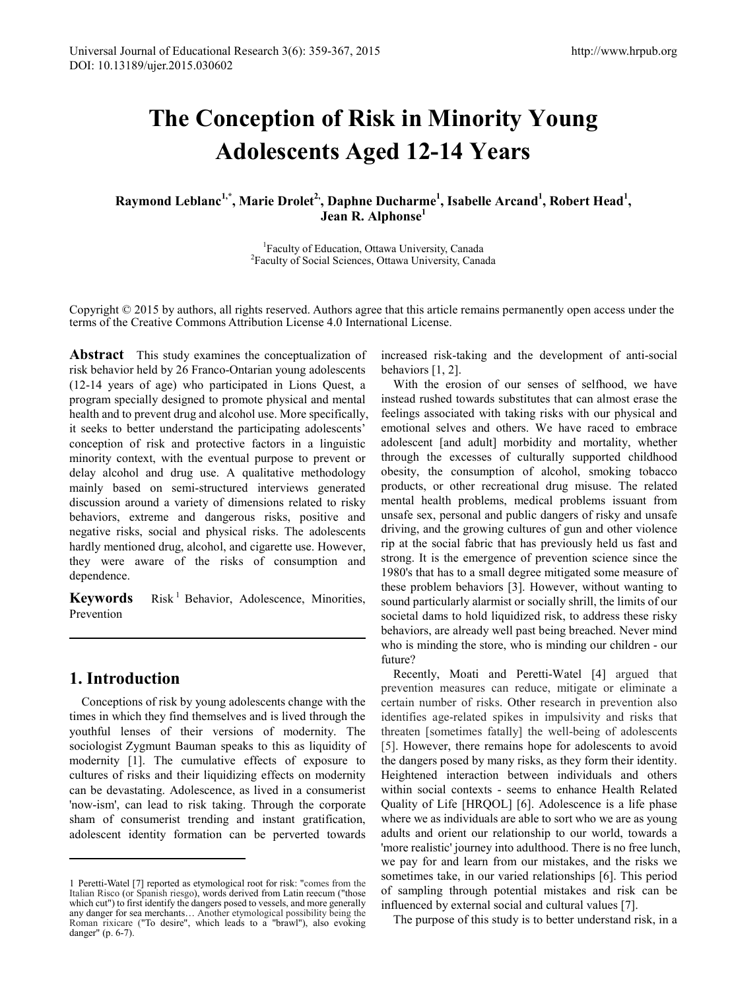# **The Conception of Risk in Minority Young Adolescents Aged 12-14 Years**

Raymond Leblanc<sup>1,\*</sup>, Marie Drolet<sup>2,</sup>, Daphne Ducharme<sup>1</sup>, Isabelle Arcand<sup>1</sup>, Robert Head<sup>1</sup>, **Jean R. Alphonse<sup>1</sup>**

> <sup>1</sup> Faculty of Education, Ottawa University, Canada Faculty of Social Sciences, Ottawa University, Canada

Copyright © 2015 by authors, all rights reserved. Authors agree that this article remains permanently open access under the terms of the Creative Commons Attribution License 4.0 International License.

**Abstract** This study examines the conceptualization of risk behavior held by 26 Franco-Ontarian young adolescents (12-14 years of age) who participated in Lions Quest, a program specially designed to promote physical and mental health and to prevent drug and alcohol use. More specifically, it seeks to better understand the participating adolescents' conception of risk and protective factors in a linguistic minority context, with the eventual purpose to prevent or delay alcohol and drug use. A qualitative methodology mainly based on semi-structured interviews generated discussion around a variety of dimensions related to risky behaviors, extreme and dangerous risks, positive and negative risks, social and physical risks. The adolescents hardly mentioned drug, alcohol, and cigarette use. However, they were aware of the risks of consumption and dependence.

Keywords Risk<sup>[1](#page-0-0)</sup> Behavior, Adolescence, Minorities, Prevention

# **1. Introduction**

**.** 

Conceptions of risk by young adolescents change with the times in which they find themselves and is lived through the youthful lenses of their versions of modernity. The sociologist Zygmunt Bauman speaks to this as liquidity of modernity [1]. The cumulative effects of exposure to cultures of risks and their liquidizing effects on modernity can be devastating. Adolescence, as lived in a consumerist 'now-ism', can lead to risk taking. Through the corporate sham of consumerist trending and instant gratification, adolescent identity formation can be perverted towards

increased risk-taking and the development of anti-social behaviors [1, 2].

With the erosion of our senses of selfhood, we have instead rushed towards substitutes that can almost erase the feelings associated with taking risks with our physical and emotional selves and others. We have raced to embrace adolescent [and adult] morbidity and mortality, whether through the excesses of culturally supported childhood obesity, the consumption of alcohol, smoking tobacco products, or other recreational drug misuse. The related mental health problems, medical problems issuant from unsafe sex, personal and public dangers of risky and unsafe driving, and the growing cultures of gun and other violence rip at the social fabric that has previously held us fast and strong. It is the emergence of prevention science since the 1980's that has to a small degree mitigated some measure of these problem behaviors [3]. However, without wanting to sound particularly alarmist or socially shrill, the limits of our societal dams to hold liquidized risk, to address these risky behaviors, are already well past being breached. Never mind who is minding the store, who is minding our children - our future?

Recently, Moati and Peretti-Watel [4] argued that prevention measures can reduce, mitigate or eliminate a certain number of risks. Other research in prevention also identifies age-related spikes in impulsivity and risks that threaten [sometimes fatally] the well-being of adolescents [5]. However, there remains hope for adolescents to avoid the dangers posed by many risks, as they form their identity. Heightened interaction between individuals and others within social contexts - seems to enhance Health Related Quality of Life [HRQOL] [6]. Adolescence is a life phase where we as individuals are able to sort who we are as young adults and orient our relationship to our world, towards a 'more realistic' journey into adulthood. There is no free lunch, we pay for and learn from our mistakes, and the risks we sometimes take, in our varied relationships [6]. This period of sampling through potential mistakes and risk can be influenced by external social and cultural values [7].

The purpose of this study is to better understand risk, in a

<span id="page-0-0"></span><sup>1</sup> Peretti-Watel [7] reported as etymological root for risk: "comes from the Italian Risco (or Spanish riesgo), words derived from Latin reecum ("those which cut") to first identify the dangers posed to vessels, and more generally any danger for sea merchants… Another etymological possibility being the Roman rixicare ("To desire", which leads to a "brawl"), also evoking danger" (p. 6-7).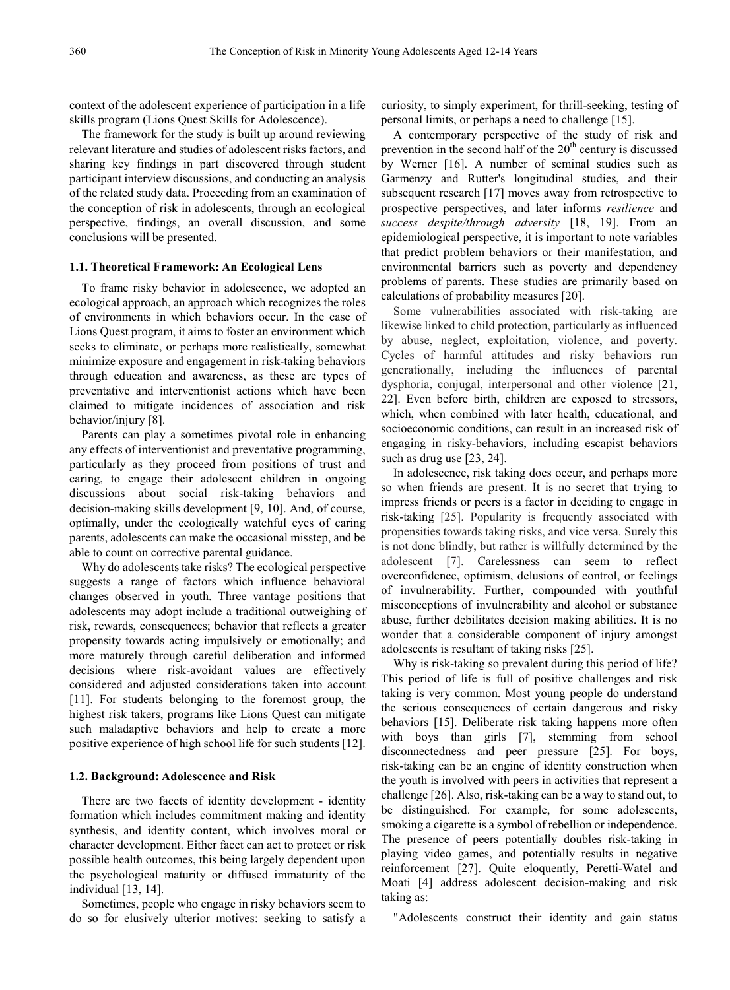context of the adolescent experience of participation in a life skills program (Lions Quest Skills for Adolescence).

The framework for the study is built up around reviewing relevant literature and studies of adolescent risks factors, and sharing key findings in part discovered through student participant interview discussions, and conducting an analysis of the related study data. Proceeding from an examination of the conception of risk in adolescents, through an ecological perspective, findings, an overall discussion, and some conclusions will be presented.

## **1.1. Theoretical Framework: An Ecological Lens**

To frame risky behavior in adolescence, we adopted an ecological approach, an approach which recognizes the roles of environments in which behaviors occur. In the case of Lions Quest program, it aims to foster an environment which seeks to eliminate, or perhaps more realistically, somewhat minimize exposure and engagement in risk-taking behaviors through education and awareness, as these are types of preventative and interventionist actions which have been claimed to mitigate incidences of association and risk behavior/injury [8].

Parents can play a sometimes pivotal role in enhancing any effects of interventionist and preventative programming, particularly as they proceed from positions of trust and caring, to engage their adolescent children in ongoing discussions about social risk-taking behaviors and decision-making skills development [9, 10]. And, of course, optimally, under the ecologically watchful eyes of caring parents, adolescents can make the occasional misstep, and be able to count on corrective parental guidance.

Why do adolescents take risks? The ecological perspective suggests a range of factors which influence behavioral changes observed in youth. Three vantage positions that adolescents may adopt include a traditional outweighing of risk, rewards, consequences; behavior that reflects a greater propensity towards acting impulsively or emotionally; and more maturely through careful deliberation and informed decisions where risk-avoidant values are effectively considered and adjusted considerations taken into account [11]. For students belonging to the foremost group, the highest risk takers, programs like Lions Quest can mitigate such maladaptive behaviors and help to create a more positive experience of high school life for such students [12].

## **1.2. Background: Adolescence and Risk**

There are two facets of identity development - identity formation which includes commitment making and identity synthesis, and identity content, which involves moral or character development. Either facet can act to protect or risk possible health outcomes, this being largely dependent upon the psychological maturity or diffused immaturity of the individual [13, 14].

Sometimes, people who engage in risky behaviors seem to do so for elusively ulterior motives: seeking to satisfy a

curiosity, to simply experiment, for thrill-seeking, testing of personal limits, or perhaps a need to challenge [15].

A contemporary perspective of the study of risk and prevention in the second half of the  $20<sup>th</sup>$  century is discussed by Werner [16]. A number of seminal studies such as Garmenzy and Rutter's longitudinal studies, and their subsequent research [17] moves away from retrospective to prospective perspectives, and later informs *resilience* and *success despite/through adversity* [18, 19]. From an epidemiological perspective, it is important to note variables that predict problem behaviors or their manifestation, and environmental barriers such as poverty and dependency problems of parents. These studies are primarily based on calculations of probability measures [20].

Some vulnerabilities associated with risk-taking are likewise linked to child protection, particularly as influenced by abuse, neglect, exploitation, violence, and poverty. Cycles of harmful attitudes and risky behaviors run generationally, including the influences of parental dysphoria, conjugal, interpersonal and other violence [21, 22]. Even before birth, children are exposed to stressors, which, when combined with later health, educational, and socioeconomic conditions, can result in an increased risk of engaging in risky-behaviors, including escapist behaviors such as drug use [23, 24].

In adolescence, risk taking does occur, and perhaps more so when friends are present. It is no secret that trying to impress friends or peers is a factor in deciding to engage in risk-taking [25]. Popularity is frequently associated with propensities towards taking risks, and vice versa. Surely this is not done blindly, but rather is willfully determined by the adolescent [7]. Carelessness can seem to reflect overconfidence, optimism, delusions of control, or feelings of invulnerability. Further, compounded with youthful misconceptions of invulnerability and alcohol or substance abuse, further debilitates decision making abilities. It is no wonder that a considerable component of injury amongst adolescents is resultant of taking risks [25].

Why is risk-taking so prevalent during this period of life? This period of life is full of positive challenges and risk taking is very common. Most young people do understand the serious consequences of certain dangerous and risky behaviors [15]. Deliberate risk taking happens more often with boys than girls [7], stemming from school disconnectedness and peer pressure [25]. For boys, risk-taking can be an engine of identity construction when the youth is involved with peers in activities that represent a challenge [26]. Also, risk-taking can be a way to stand out, to be distinguished. For example, for some adolescents, smoking a cigarette is a symbol of rebellion or independence. The presence of peers potentially doubles risk-taking in playing video games, and potentially results in negative reinforcement [27]. Quite eloquently, Peretti-Watel and Moati [4] address adolescent decision-making and risk taking as:

"Adolescents construct their identity and gain status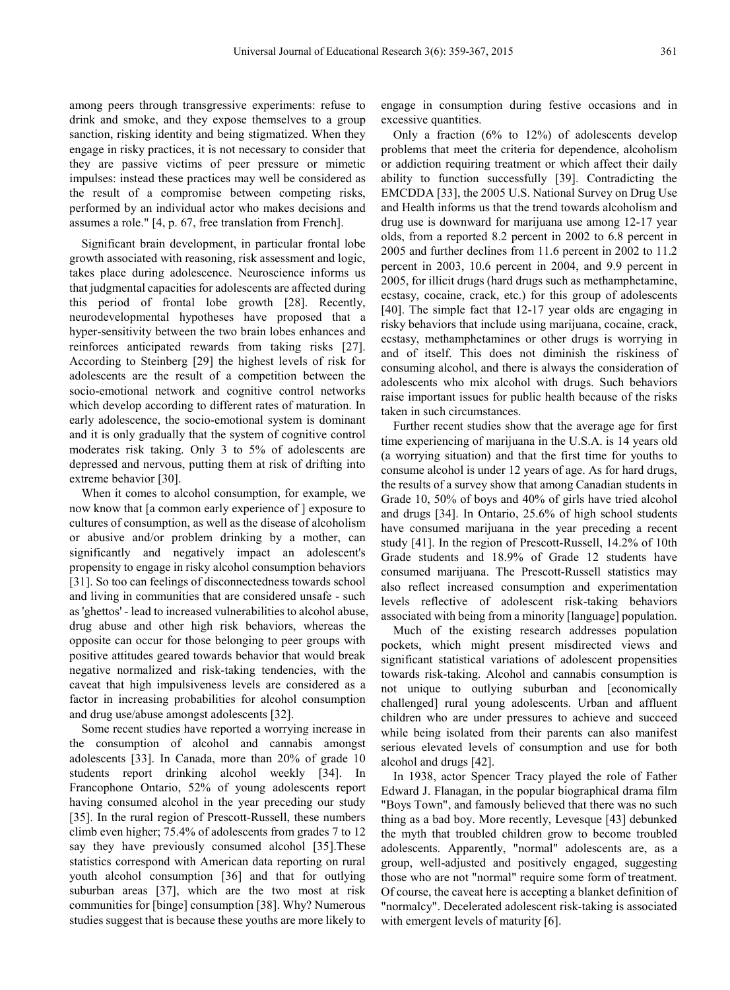among peers through transgressive experiments: refuse to drink and smoke, and they expose themselves to a group sanction, risking identity and being stigmatized. When they engage in risky practices, it is not necessary to consider that they are passive victims of peer pressure or mimetic impulses: instead these practices may well be considered as the result of a compromise between competing risks, performed by an individual actor who makes decisions and assumes a role." [4, p. 67, free translation from French].

Significant brain development, in particular frontal lobe growth associated with reasoning, risk assessment and logic, takes place during adolescence. Neuroscience informs us that judgmental capacities for adolescents are affected during this period of frontal lobe growth [28]. Recently, neurodevelopmental hypotheses have proposed that a hyper-sensitivity between the two brain lobes enhances and reinforces anticipated rewards from taking risks [27]. According to Steinberg [29] the highest levels of risk for adolescents are the result of a competition between the socio-emotional network and cognitive control networks which develop according to different rates of maturation. In early adolescence, the socio-emotional system is dominant and it is only gradually that the system of cognitive control moderates risk taking. Only 3 to 5% of adolescents are depressed and nervous, putting them at risk of drifting into extreme behavior [30].

When it comes to alcohol consumption, for example, we now know that [a common early experience of ] exposure to cultures of consumption, as well as the disease of alcoholism or abusive and/or problem drinking by a mother, can significantly and negatively impact an adolescent's propensity to engage in risky alcohol consumption behaviors [31]. So too can feelings of disconnectedness towards school and living in communities that are considered unsafe - such as 'ghettos' - lead to increased vulnerabilities to alcohol abuse, drug abuse and other high risk behaviors, whereas the opposite can occur for those belonging to peer groups with positive attitudes geared towards behavior that would break negative normalized and risk-taking tendencies, with the caveat that high impulsiveness levels are considered as a factor in increasing probabilities for alcohol consumption and drug use/abuse amongst adolescents [32].

Some recent studies have reported a worrying increase in the consumption of alcohol and cannabis amongst adolescents [33]. In Canada, more than 20% of grade 10 students report drinking alcohol weekly [34]. In Francophone Ontario, 52% of young adolescents report having consumed alcohol in the year preceding our study [35]. In the rural region of Prescott-Russell, these numbers climb even higher; 75.4% of adolescents from grades 7 to 12 say they have previously consumed alcohol [35].These statistics correspond with American data reporting on rural youth alcohol consumption [36] and that for outlying suburban areas [37], which are the two most at risk communities for [binge] consumption [38]. Why? Numerous studies suggest that is because these youths are more likely to

engage in consumption during festive occasions and in excessive quantities.

Only a fraction (6% to 12%) of adolescents develop problems that meet the criteria for dependence, alcoholism or addiction requiring treatment or which affect their daily ability to function successfully [39]. Contradicting the EMCDDA [33], the 2005 U.S. National Survey on Drug Use and Health informs us that the trend towards alcoholism and drug use is downward for marijuana use among 12-17 year olds, from a reported 8.2 percent in 2002 to 6.8 percent in 2005 and further declines from 11.6 percent in 2002 to 11.2 percent in 2003, 10.6 percent in 2004, and 9.9 percent in 2005, for illicit drugs (hard drugs such as methamphetamine, ecstasy, cocaine, crack, etc.) for this group of adolescents [40]. The simple fact that 12-17 year olds are engaging in risky behaviors that include using marijuana, cocaine, crack, ecstasy, methamphetamines or other drugs is worrying in and of itself. This does not diminish the riskiness of consuming alcohol, and there is always the consideration of adolescents who mix alcohol with drugs. Such behaviors raise important issues for public health because of the risks taken in such circumstances.

Further recent studies show that the average age for first time experiencing of marijuana in the U.S.A. is 14 years old (a worrying situation) and that the first time for youths to consume alcohol is under 12 years of age. As for hard drugs, the results of a survey show that among Canadian students in Grade 10, 50% of boys and 40% of girls have tried alcohol and drugs [34]. In Ontario, 25.6% of high school students have consumed marijuana in the year preceding a recent study [41]. In the region of Prescott-Russell, 14.2% of 10th Grade students and 18.9% of Grade 12 students have consumed marijuana. The Prescott-Russell statistics may also reflect increased consumption and experimentation levels reflective of adolescent risk-taking behaviors associated with being from a minority [language] population.

Much of the existing research addresses population pockets, which might present misdirected views and significant statistical variations of adolescent propensities towards risk-taking. Alcohol and cannabis consumption is not unique to outlying suburban and [economically challenged] rural young adolescents. Urban and affluent children who are under pressures to achieve and succeed while being isolated from their parents can also manifest serious elevated levels of consumption and use for both alcohol and drugs [42].

In 1938, actor Spencer Tracy played the role of Father Edward J. Flanagan, in the popular biographical drama film "Boys Town", and famously believed that there was no such thing as a bad boy. More recently, Levesque [43] debunked the myth that troubled children grow to become troubled adolescents. Apparently, "normal" adolescents are, as a group, well-adjusted and positively engaged, suggesting those who are not "normal" require some form of treatment. Of course, the caveat here is accepting a blanket definition of "normalcy". Decelerated adolescent risk-taking is associated with emergent levels of maturity [6].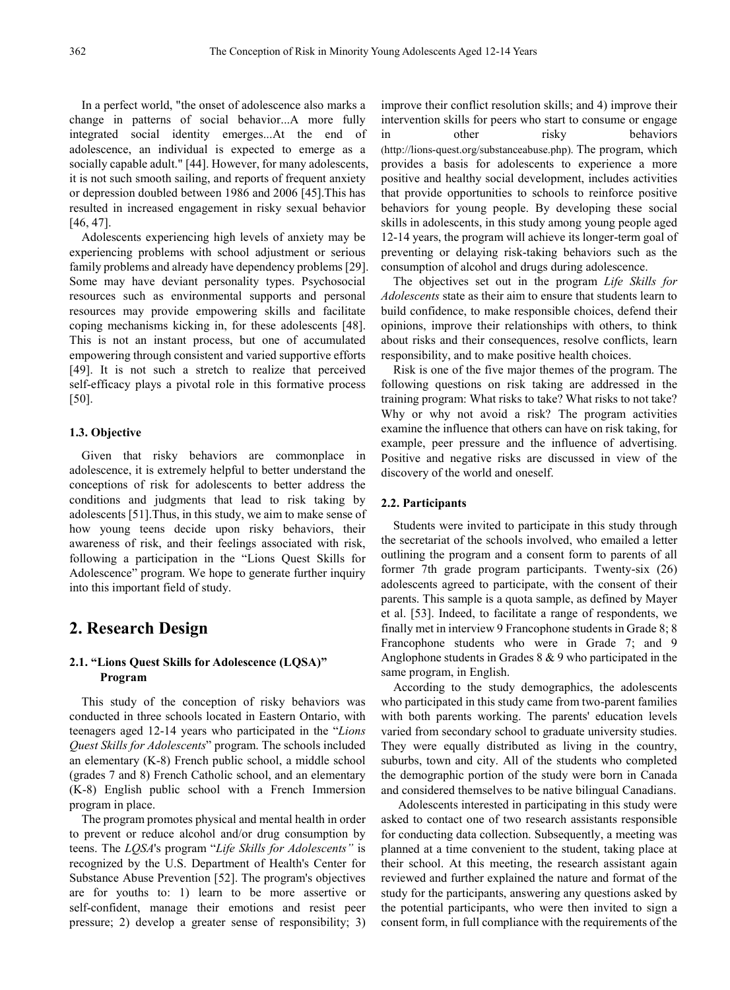In a perfect world, "the onset of adolescence also marks a change in patterns of social behavior...A more fully integrated social identity emerges...At the end of adolescence, an individual is expected to emerge as a socially capable adult." [44]. However, for many adolescents, it is not such smooth sailing, and reports of frequent anxiety or depression doubled between 1986 and 2006 [45].This has resulted in increased engagement in risky sexual behavior [46, 47].

Adolescents experiencing high levels of anxiety may be experiencing problems with school adjustment or serious family problems and already have dependency problems [29]. Some may have deviant personality types. Psychosocial resources such as environmental supports and personal resources may provide empowering skills and facilitate coping mechanisms kicking in, for these adolescents [48]. This is not an instant process, but one of accumulated empowering through consistent and varied supportive efforts [49]. It is not such a stretch to realize that perceived self-efficacy plays a pivotal role in this formative process [50].

## **1.3. Objective**

Given that risky behaviors are commonplace in adolescence, it is extremely helpful to better understand the conceptions of risk for adolescents to better address the conditions and judgments that lead to risk taking by adolescents [51].Thus, in this study, we aim to make sense of how young teens decide upon risky behaviors, their awareness of risk, and their feelings associated with risk, following a participation in the "Lions Quest Skills for Adolescence" program. We hope to generate further inquiry into this important field of study.

# **2. Research Design**

## **2.1. "Lions Quest Skills for Adolescence (LQSA)" Program**

This study of the conception of risky behaviors was conducted in three schools located in Eastern Ontario, with teenagers aged 12-14 years who participated in the "*Lions Quest Skills for Adolescents*" program. The schools included an elementary (K-8) French public school, a middle school (grades 7 and 8) French Catholic school, and an elementary (K-8) English public school with a French Immersion program in place.

The program promotes physical and mental health in order to prevent or reduce alcohol and/or drug consumption by teens. The *LQSA*'s program "*Life Skills for Adolescents"* is recognized by the U.S. Department of Health's Center for Substance Abuse Prevention [52]. The program's objectives are for youths to: 1) learn to be more assertive or self-confident, manage their emotions and resist peer pressure; 2) develop a greater sense of responsibility; 3)

improve their conflict resolution skills; and 4) improve their intervention skills for peers who start to consume or engage in other risky behaviors (http://lions-quest.org/substanceabuse.php). The program, which provides a basis for adolescents to experience a more positive and healthy social development, includes activities that provide opportunities to schools to reinforce positive behaviors for young people. By developing these social skills in adolescents, in this study among young people aged 12-14 years, the program will achieve its longer-term goal of preventing or delaying risk-taking behaviors such as the consumption of alcohol and drugs during adolescence.

The objectives set out in the program *Life Skills for Adolescents* state as their aim to ensure that students learn to build confidence, to make responsible choices, defend their opinions, improve their relationships with others, to think about risks and their consequences, resolve conflicts, learn responsibility, and to make positive health choices.

Risk is one of the five major themes of the program. The following questions on risk taking are addressed in the training program: What risks to take? What risks to not take? Why or why not avoid a risk? The program activities examine the influence that others can have on risk taking, for example, peer pressure and the influence of advertising. Positive and negative risks are discussed in view of the discovery of the world and oneself.

#### **2.2. Participants**

Students were invited to participate in this study through the secretariat of the schools involved, who emailed a letter outlining the program and a consent form to parents of all former 7th grade program participants. Twenty-six (26) adolescents agreed to participate, with the consent of their parents. This sample is a quota sample, as defined by Mayer et al. [53]. Indeed, to facilitate a range of respondents, we finally met in interview 9 Francophone students in Grade 8; 8 Francophone students who were in Grade 7; and 9 Anglophone students in Grades 8 & 9 who participated in the same program, in English.

According to the study demographics, the adolescents who participated in this study came from two-parent families with both parents working. The parents' education levels varied from secondary school to graduate university studies. They were equally distributed as living in the country, suburbs, town and city. All of the students who completed the demographic portion of the study were born in Canada and considered themselves to be native bilingual Canadians.

Adolescents interested in participating in this study were asked to contact one of two research assistants responsible for conducting data collection. Subsequently, a meeting was planned at a time convenient to the student, taking place at their school. At this meeting, the research assistant again reviewed and further explained the nature and format of the study for the participants, answering any questions asked by the potential participants, who were then invited to sign a consent form, in full compliance with the requirements of the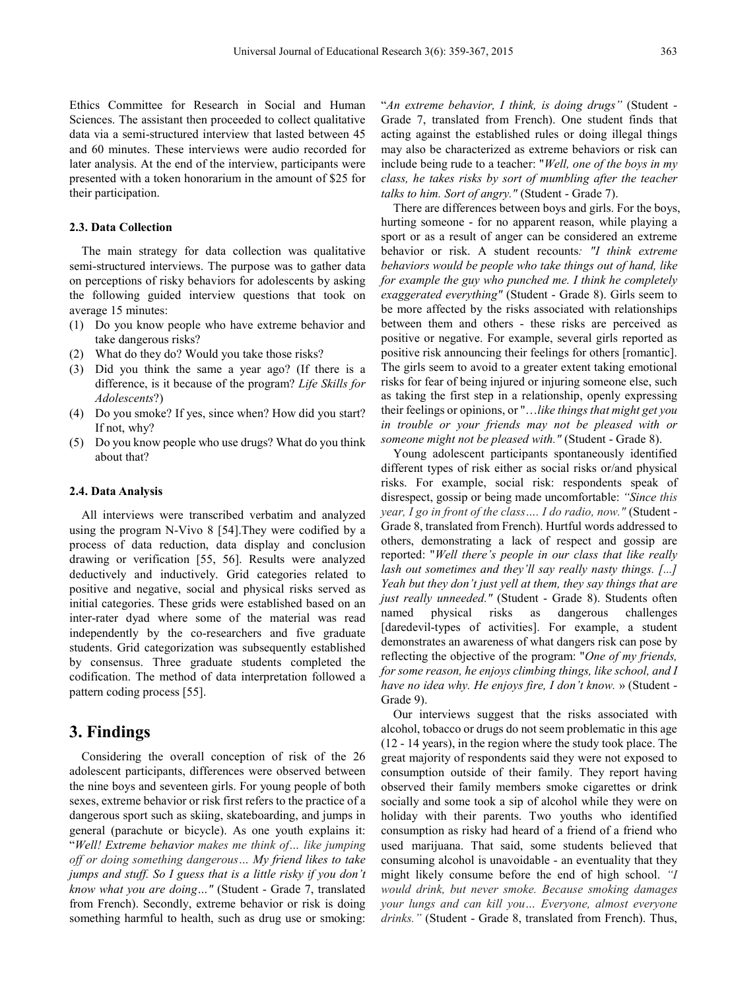Ethics Committee for Research in Social and Human Sciences. The assistant then proceeded to collect qualitative data via a semi-structured interview that lasted between 45 and 60 minutes. These interviews were audio recorded for later analysis. At the end of the interview, participants were presented with a token honorarium in the amount of \$25 for their participation.

## **2.3. Data Collection**

The main strategy for data collection was qualitative semi-structured interviews. The purpose was to gather data on perceptions of risky behaviors for adolescents by asking the following guided interview questions that took on average 15 minutes:

- (1) Do you know people who have extreme behavior and take dangerous risks?
- (2) What do they do? Would you take those risks?
- (3) Did you think the same a year ago? (If there is a difference, is it because of the program? *Life Skills for Adolescents*?)
- (4) Do you smoke? If yes, since when? How did you start? If not, why?
- (5) Do you know people who use drugs? What do you think about that?

#### **2.4. Data Analysis**

All interviews were transcribed verbatim and analyzed using the program N-Vivo 8 [54].They were codified by a process of data reduction, data display and conclusion drawing or verification [55, 56]. Results were analyzed deductively and inductively. Grid categories related to positive and negative, social and physical risks served as initial categories. These grids were established based on an inter-rater dyad where some of the material was read independently by the co-researchers and five graduate students. Grid categorization was subsequently established by consensus. Three graduate students completed the codification. The method of data interpretation followed a pattern coding process [55].

## **3. Findings**

Considering the overall conception of risk of the 26 adolescent participants, differences were observed between the nine boys and seventeen girls. For young people of both sexes, extreme behavior or risk first refers to the practice of a dangerous sport such as skiing, skateboarding, and jumps in general (parachute or bicycle). As one youth explains it: "*Well! Extreme behavior makes me think of… like jumping off or doing something dangerous… My friend likes to take jumps and stuff. So I guess that is a little risky if you don't know what you are doing…"* (Student - Grade 7, translated from French). Secondly, extreme behavior or risk is doing something harmful to health, such as drug use or smoking:

"*An extreme behavior, I think, is doing drugs"* (Student - Grade 7, translated from French). One student finds that acting against the established rules or doing illegal things may also be characterized as extreme behaviors or risk can include being rude to a teacher: "*Well, one of the boys in my class, he takes risks by sort of mumbling after the teacher talks to him. Sort of angry."* (Student - Grade 7).

There are differences between boys and girls. For the boys, hurting someone - for no apparent reason, while playing a sport or as a result of anger can be considered an extreme behavior or risk. A student recounts*: "I think extreme behaviors would be people who take things out of hand, like for example the guy who punched me. I think he completely exaggerated everything"* (Student - Grade 8). Girls seem to be more affected by the risks associated with relationships between them and others - these risks are perceived as positive or negative. For example, several girls reported as positive risk announcing their feelings for others [romantic]. The girls seem to avoid to a greater extent taking emotional risks for fear of being injured or injuring someone else, such as taking the first step in a relationship, openly expressing their feelings or opinions, or "…*like things that might get you in trouble or your friends may not be pleased with or someone might not be pleased with."* (Student - Grade 8).

Young adolescent participants spontaneously identified different types of risk either as social risks or/and physical risks. For example, social risk: respondents speak of disrespect, gossip or being made uncomfortable: *"Since this year, I go in front of the class…. I do radio, now."* (Student - Grade 8, translated from French). Hurtful words addressed to others, demonstrating a lack of respect and gossip are reported: "*Well there's people in our class that like really lash out sometimes and they'll say really nasty things. [...] Yeah but they don't just yell at them, they say things that are just really unneeded."* (Student - Grade 8). Students often named physical risks as dangerous challenges [daredevil-types of activities]. For example, a student demonstrates an awareness of what dangers risk can pose by reflecting the objective of the program: "*One of my friends, for some reason, he enjoys climbing things, like school, and I have no idea why. He enjoys fire, I don't know.* » (Student - Grade 9).

Our interviews suggest that the risks associated with alcohol, tobacco or drugs do not seem problematic in this age (12 - 14 years), in the region where the study took place. The great majority of respondents said they were not exposed to consumption outside of their family. They report having observed their family members smoke cigarettes or drink socially and some took a sip of alcohol while they were on holiday with their parents. Two youths who identified consumption as risky had heard of a friend of a friend who used marijuana. That said, some students believed that consuming alcohol is unavoidable - an eventuality that they might likely consume before the end of high school. *"I would drink, but never smoke. Because smoking damages your lungs and can kill you… Everyone, almost everyone drinks."* (Student - Grade 8, translated from French). Thus,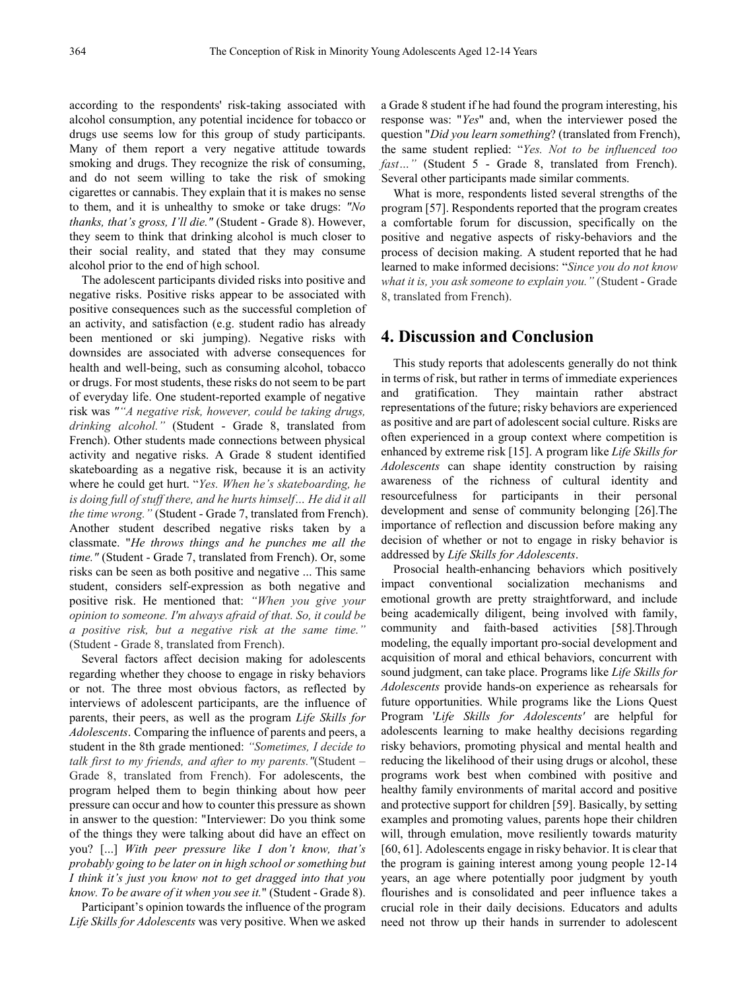according to the respondents' risk-taking associated with alcohol consumption, any potential incidence for tobacco or drugs use seems low for this group of study participants. Many of them report a very negative attitude towards smoking and drugs. They recognize the risk of consuming, and do not seem willing to take the risk of smoking cigarettes or cannabis. They explain that it is makes no sense to them, and it is unhealthy to smoke or take drugs: *"No thanks, that's gross, I'll die."* (Student - Grade 8). However, they seem to think that drinking alcohol is much closer to their social reality, and stated that they may consume alcohol prior to the end of high school.

The adolescent participants divided risks into positive and negative risks. Positive risks appear to be associated with positive consequences such as the successful completion of an activity, and satisfaction (e.g. student radio has already been mentioned or ski jumping). Negative risks with downsides are associated with adverse consequences for health and well-being, such as consuming alcohol, tobacco or drugs. For most students, these risks do not seem to be part of everyday life. One student-reported example of negative risk was *""A negative risk, however, could be taking drugs, drinking alcohol."* (Student - Grade 8, translated from French). Other students made connections between physical activity and negative risks. A Grade 8 student identified skateboarding as a negative risk, because it is an activity where he could get hurt. "*Yes. When he's skateboarding, he*  is doing full of stuff there, and he hurts himself... He did it all *the time wrong."* (Student - Grade 7, translated from French). Another student described negative risks taken by a classmate. "*He throws things and he punches me all the time."* (Student - Grade 7, translated from French). Or, some risks can be seen as both positive and negative ... This same student, considers self-expression as both negative and positive risk. He mentioned that: *"When you give your opinion to someone. I'm always afraid of that. So, it could be a positive risk, but a negative risk at the same time."* (Student - Grade 8, translated from French).

Several factors affect decision making for adolescents regarding whether they choose to engage in risky behaviors or not. The three most obvious factors, as reflected by interviews of adolescent participants, are the influence of parents, their peers, as well as the program *Life Skills for Adolescents*. Comparing the influence of parents and peers, a student in the 8th grade mentioned: *"Sometimes, I decide to talk first to my friends, and after to my parents."*(Student – Grade 8, translated from French). For adolescents, the program helped them to begin thinking about how peer pressure can occur and how to counter this pressure as shown in answer to the question: "Interviewer: Do you think some of the things they were talking about did have an effect on you? [...] *With peer pressure like I don't know, that's probably going to be later on in high school or something but I think it's just you know not to get dragged into that you know. To be aware of it when you see it.*" (Student - Grade 8).

Participant's opinion towards the influence of the program *Life Skills for Adolescents* was very positive. When we asked

a Grade 8 student if he had found the program interesting, his response was: "*Yes*" and, when the interviewer posed the question "*Did you learn something*? (translated from French), the same student replied: "*Yes. Not to be influenced too fast…"* (Student 5 - Grade 8, translated from French). Several other participants made similar comments.

What is more, respondents listed several strengths of the program [57]. Respondents reported that the program creates a comfortable forum for discussion, specifically on the positive and negative aspects of risky-behaviors and the process of decision making. A student reported that he had learned to make informed decisions: "*Since you do not know what it is, you ask someone to explain you."* (Student - Grade 8, translated from French).

# **4. Discussion and Conclusion**

This study reports that adolescents generally do not think in terms of risk, but rather in terms of immediate experiences and gratification. They maintain rather abstract representations of the future; risky behaviors are experienced as positive and are part of adolescent social culture. Risks are often experienced in a group context where competition is enhanced by extreme risk [15]. A program like *Life Skills for Adolescents* can shape identity construction by raising awareness of the richness of cultural identity and resourcefulness for participants in their personal development and sense of community belonging [26].The importance of reflection and discussion before making any decision of whether or not to engage in risky behavior is addressed by *Life Skills for Adolescents*.

Prosocial health-enhancing behaviors which positively impact conventional socialization mechanisms and emotional growth are pretty straightforward, and include being academically diligent, being involved with family, community and faith-based activities [58].Through modeling, the equally important pro-social development and acquisition of moral and ethical behaviors, concurrent with sound judgment, can take place. Programs like *Life Skills for Adolescents* provide hands-on experience as rehearsals for future opportunities. While programs like the Lions Quest Program '*Life Skills for Adolescents'* are helpful for adolescents learning to make healthy decisions regarding risky behaviors, promoting physical and mental health and reducing the likelihood of their using drugs or alcohol, these programs work best when combined with positive and healthy family environments of marital accord and positive and protective support for children [59]. Basically, by setting examples and promoting values, parents hope their children will, through emulation, move resiliently towards maturity [60, 61]. Adolescents engage in risky behavior. It is clear that the program is gaining interest among young people 12-14 years, an age where potentially poor judgment by youth flourishes and is consolidated and peer influence takes a crucial role in their daily decisions. Educators and adults need not throw up their hands in surrender to adolescent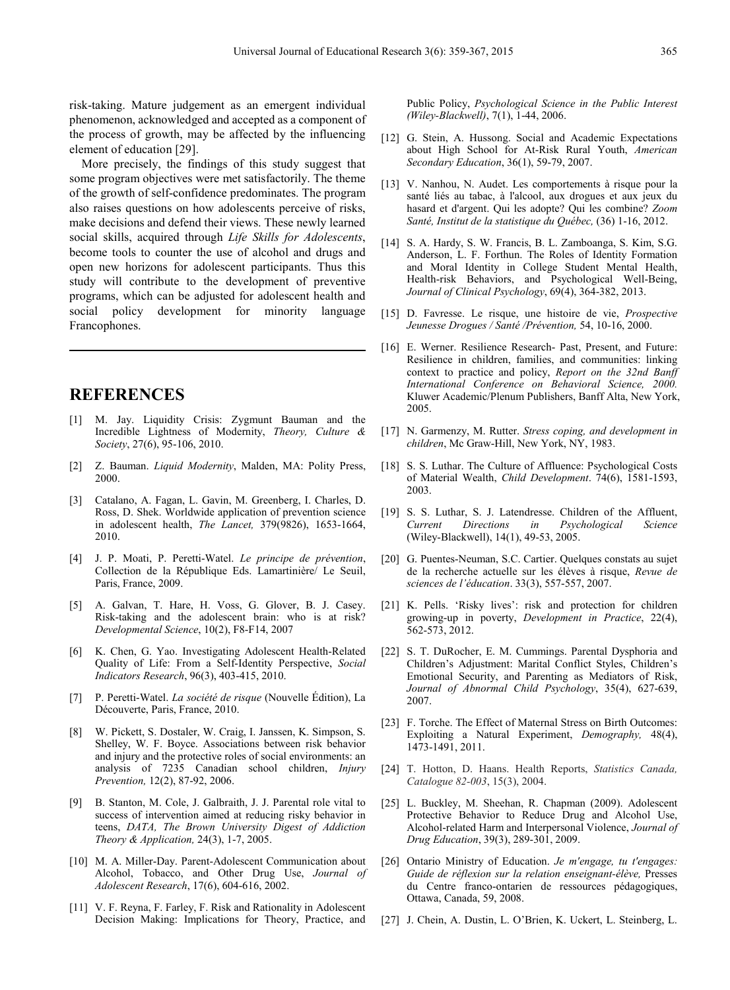risk-taking. Mature judgement as an emergent individual phenomenon, acknowledged and accepted as a component of the process of growth, may be affected by the influencing element of education [29].

More precisely, the findings of this study suggest that some program objectives were met satisfactorily. The theme of the growth of self-confidence predominates. The program also raises questions on how adolescents perceive of risks, make decisions and defend their views. These newly learned social skills, acquired through *Life Skills for Adolescents*, become tools to counter the use of alcohol and drugs and open new horizons for adolescent participants. Thus this study will contribute to the development of preventive programs, which can be adjusted for adolescent health and social policy development for minority language Francophones.

# **REFERENCES**

- [1] M. Jay. Liquidity Crisis: Zygmunt Bauman and the Incredible Lightness of Modernity, *Theory, Culture & Society*, 27(6), 95-106, 2010.
- [2] Z. Bauman. *Liquid Modernity*, Malden, MA: Polity Press, 2000.
- [3] Catalano, A. Fagan, L. Gavin, M. Greenberg, I. Charles, D. Ross, D. Shek. Worldwide application of prevention science in adolescent health, *The Lancet,* 379(9826), 1653-1664, 2010.
- [4] J. P. Moati, P. Peretti-Watel. *Le principe de prévention*, Collection de la République Eds. Lamartinière/ Le Seuil, Paris, France, 2009.
- [5] A. Galvan, T. Hare, H. Voss, G. Glover, B. J. Casey. Risk-taking and the adolescent brain: who is at risk? *Developmental Science*, 10(2), F8-F14, 2007
- [6] K. Chen, G. Yao. Investigating Adolescent Health-Related Quality of Life: From a Self-Identity Perspective, *Social Indicators Research*, 96(3), 403-415, 2010.
- [7] P. Peretti-Watel. *La société de risque* (Nouvelle Édition), La Découverte, Paris, France, 2010.
- [8] W. Pickett, S. Dostaler, W. Craig, I. Janssen, K. Simpson, S. Shelley, W. F. Boyce. Associations between risk behavior and injury and the protective roles of social environments: an analysis of 7235 Canadian school children, *Injury Prevention,* 12(2), 87-92, 2006.
- [9] B. Stanton, M. Cole, J. Galbraith, J. J. Parental role vital to success of intervention aimed at reducing risky behavior in teens, *DATA, The Brown University Digest of Addiction Theory & Application,* 24(3), 1-7, 2005.
- [10] M. A. Miller-Day. Parent-Adolescent Communication about Alcohol, Tobacco, and Other Drug Use, *Journal of Adolescent Research*, 17(6), 604-616, 2002.
- [11] V. F. Reyna, F. Farley, F. Risk and Rationality in Adolescent Decision Making: Implications for Theory, Practice, and

Public Policy, *Psychological Science in the Public Interest (Wiley-Blackwell)*, 7(1), 1-44, 2006.

- [12] G. Stein, A. Hussong. Social and Academic Expectations about High School for At-Risk Rural Youth, *American Secondary Education*, 36(1), 59-79, 2007.
- [13] V. Nanhou, N. Audet. Les comportements à risque pour la santé liés au tabac, à l'alcool, aux drogues et aux jeux du hasard et d'argent. Qui les adopte? Qui les combine? *Zoom Santé, Institut de la statistique du Québec,* (36) 1-16, 2012.
- [14] S. A. Hardy, S. W. Francis, B. L. Zamboanga, S. Kim, S.G. Anderson, L. F. Forthun. The Roles of Identity Formation and Moral Identity in College Student Mental Health, Health-risk Behaviors, and Psychological Well-Being, *Journal of Clinical Psychology*, 69(4), 364-382, 2013.
- [15] D. Favresse. Le risque, une histoire de vie, *Prospective Jeunesse Drogues / Santé /Prévention,* 54, 10-16, 2000.
- [16] E. Werner. Resilience Research- Past, Present, and Future: Resilience in children, families, and communities: linking context to practice and policy, *Report on the 32nd Banff International Conference on Behavioral Science, 2000.*  Kluwer Academic/Plenum Publishers, Banff Alta, New York, 2005.
- [17] N. Garmenzy, M. Rutter. *Stress coping, and development in children*, Mc Graw-Hill, New York, NY, 1983.
- [18] S. S. Luthar. The Culture of Affluence: Psychological Costs of Material Wealth, *Child Development*. 74(6), 1581-1593, 2003.
- [19] S. S. Luthar, S. J. Latendresse. Children of the Affluent, *Current Directions in Psychological Science* (Wiley-Blackwell), 14(1), 49-53, 2005.
- [20] G. Puentes-Neuman, S.C. Cartier. Quelques constats au sujet de la recherche actuelle sur les élèves à risque, *Revue de sciences de l'éducation*. 33(3), 557-557, 2007.
- [21] K. Pells. 'Risky lives': risk and protection for children growing-up in poverty, *Development in Practice*, 22(4), 562-573, 2012.
- [22] S. T. DuRocher, E. M. Cummings. Parental Dysphoria and Children's Adjustment: Marital Conflict Styles, Children's Emotional Security, and Parenting as Mediators of Risk, *Journal of Abnormal Child Psychology*, 35(4), 627-639, 2007.
- [23] F. Torche. The Effect of Maternal Stress on Birth Outcomes: Exploiting a Natural Experiment, *Demography,* 48(4), 1473-1491, 2011.
- [24] T. Hotton, D. Haans. Health Reports, *Statistics Canada, Catalogue 82-003*, 15(3), 2004.
- [25] L. Buckley, M. Sheehan, R. Chapman (2009). Adolescent Protective Behavior to Reduce Drug and Alcohol Use, Alcohol-related Harm and Interpersonal Violence, *Journal of Drug Education*, 39(3), 289-301, 2009.
- [26] Ontario Ministry of Education. *Je m'engage, tu t'engages: Guide de réflexion sur la relation enseignant-élève,* Presses du Centre franco-ontarien de ressources pédagogiques, Ottawa, Canada, 59, 2008.
- [27] J. Chein, A. Dustin, L. O'Brien, K. Uckert, L. Steinberg, L.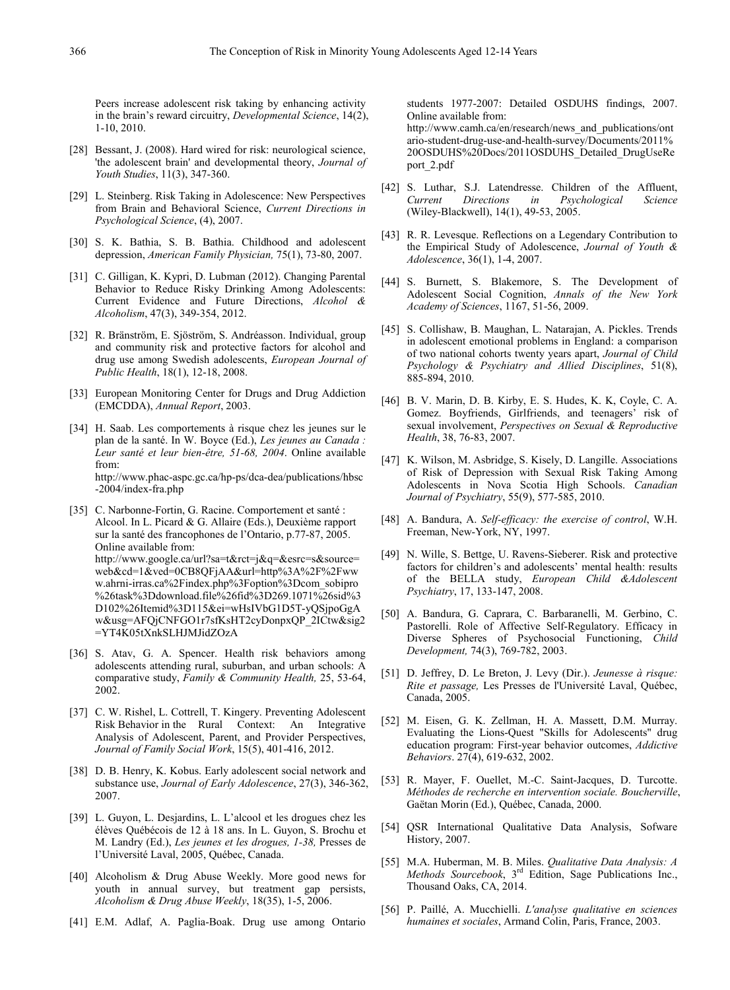Peers increase adolescent risk taking by enhancing activity in the brain's reward circuitry, *Developmental Science*, 14(2), 1-10, 2010.

- [28] Bessant, J. (2008). Hard wired for risk: neurological science, 'the adolescent brain' and developmental theory, *Journal of Youth Studies*, 11(3), 347-360.
- [29] L. Steinberg. Risk Taking in Adolescence: New Perspectives from Brain and Behavioral Science, *Current Directions in Psychological Science*, (4), 2007.
- [30] S. K. Bathia, S. B. Bathia. Childhood and adolescent depression, *American Family Physician,* 75(1), 73-80, 2007.
- [31] C. Gilligan, K. Kypri, D. Lubman (2012). Changing Parental Behavior to Reduce Risky Drinking Among Adolescents: Current Evidence and Future Directions, *Alcohol & Alcoholism*, 47(3), 349-354, 2012.
- [32] R. Bränström, E. Sjöström, S. Andréasson. Individual, group and community risk and protective factors for alcohol and drug use among Swedish adolescents, *European Journal of Public Health*, 18(1), 12-18, 2008.
- [33] European Monitoring Center for Drugs and Drug Addiction (EMCDDA), *Annual Report*, 2003.
- [34] H. Saab. Les comportements à risque chez les jeunes sur le plan de la santé. In W. Boyce (Ed.), *Les jeunes au Canada : Leur santé et leur bien-être, 51-68, 2004*. Online available from: http://www.phac-aspc.gc.ca/hp-ps/dca-dea/publications/hbsc -2004/index-fra.php
- [35] C. Narbonne-Fortin, G. Racine. Comportement et santé : Alcool. In L. Picard & G. Allaire (Eds.), Deuxième rapport sur la santé des francophones de l'Ontario, p.77-87, 2005. Online available from: http://www.google.ca/url?sa=t&rct=j&q=&esrc=s&source= web&cd=1&ved=0CB8QFjAA&url=http%3A%2F%2Fww w.ahrni-irras.ca%2Findex.php%3Foption%3Dcom\_sobipro %26task%3Ddownload.file%26fid%3D269.1071%26sid%3 D102%26Itemid%3D115&ei=wHsIVbG1D5T-yQSjpoGgA w&usg=AFQjCNFGO1r7sfKsHT2cyDonpxQP\_2ICtw&sig2 =YT4K05tXnkSLHJMJidZOzA
- [36] S. Atav, G. A. Spencer. Health risk behaviors among adolescents attending rural, suburban, and urban schools: A comparative study, *Family & Community Health,* 25, 53-64, 2002.
- [37] C. W. Rishel, L. Cottrell, T. Kingery. Preventing Adolescent Risk Behavior in the Rural Context: An Integrative Analysis of Adolescent, Parent, and Provider Perspectives, *Journal of Family Social Work*, 15(5), 401-416, 2012.
- [38] D. B. Henry, K. Kobus. Early adolescent social network and substance use, *Journal of Early Adolescence*, 27(3), 346-362, 2007.
- [39] L. Guyon, L. Desjardins, L. L'alcool et les drogues chez les élèves Québécois de 12 à 18 ans. In L. Guyon, S. Brochu et M. Landry (Ed.), *Les jeunes et les drogues, 1-38,* Presses de l'Université Laval, 2005, Québec, Canada.
- [40] Alcoholism & Drug Abuse Weekly. More good news for youth in annual survey, but treatment gap persists, *Alcoholism & Drug Abuse Weekly*, 18(35), 1-5, 2006.
- [41] E.M. Adlaf, A. Paglia-Boak. Drug use among Ontario

students 1977-2007: Detailed OSDUHS findings, 2007. Online available from:

http://www.camh.ca/en/research/news\_and\_publications/ont ario-student-drug-use-and-health-survey/Documents/2011% 20OSDUHS%20Docs/2011OSDUHS\_Detailed\_DrugUseRe port\_2.pdf

- [42] S. Luthar, S.J. Latendresse. Children of the Affluent, *Current Directions in Psychological Science* (Wiley-Blackwell), 14(1), 49-53, 2005.
- [43] R. R. Levesque. Reflections on a Legendary Contribution to the Empirical Study of Adolescence, *Journal of Youth & Adolescence*, 36(1), 1-4, 2007.
- [44] S. Burnett, S. Blakemore, S. The Development of Adolescent Social Cognition, *Annals of the New York Academy of Sciences*, 1167, 51-56, 2009.
- [45] S. Collishaw, B. Maughan, L. Natarajan, A. Pickles. Trends in adolescent emotional problems in England: a comparison of two national cohorts twenty years apart, *Journal of Child Psychology & Psychiatry and Allied Disciplines*, 51(8), 885-894, 2010.
- [46] B. V. Marin, D. B. Kirby, E. S. Hudes, K. K, Coyle, C. A. Gomez. Boyfriends, Girlfriends, and teenagers' risk of sexual involvement, *Perspectives on Sexual & Reproductive Health*, 38, 76-83, 2007.
- [47] K. Wilson, M. Asbridge, S. Kisely, D. Langille. Associations of Risk of Depression with Sexual Risk Taking Among Adolescents in Nova Scotia High Schools. *Canadian Journal of Psychiatry*, 55(9), 577-585, 2010.
- [48] A. Bandura, A. *Self-efficacy: the exercise of control*, W.H. Freeman, New-York, NY, 1997.
- [49] N. Wille, S. Bettge, U. Ravens-Sieberer. Risk and protective factors for children's and adolescents' mental health: results of the BELLA study, *European Child &Adolescent Psychiatry*, 17, 133-147, 2008.
- [50] A. Bandura, G. Caprara, C. Barbaranelli, M. Gerbino, C. Pastorelli. Role of Affective Self-Regulatory. Efficacy in Diverse Spheres of Psychosocial Functioning, *Child Development,* 74(3), 769-782, 2003.
- [51] D. Jeffrey, D. Le Breton, J. Levy (Dir.). *Jeunesse à risque: Rite et passage,* Les Presses de l'Université Laval, Québec, Canada, 2005.
- [52] M. Eisen, G. K. Zellman, H. A. Massett, D.M. Murray. Evaluating the Lions-Quest "Skills for Adolescents" drug education program: First-year behavior outcomes, *Addictive Behaviors*. 27(4), 619-632, 2002.
- [53] R. Mayer, F. Ouellet, M.-C. Saint-Jacques, D. Turcotte. *Méthodes de recherche en intervention sociale. Boucherville*, Gaëtan Morin (Ed.), Québec, Canada, 2000.
- [54] QSR International Qualitative Data Analysis, Sofware History, 2007.
- [55] M.A. Huberman, M. B. Miles. *Qualitative Data Analysis: A Methods Sourcebook*, 3rd Edition, Sage Publications Inc., Thousand Oaks, CA, 2014.
- [56] P. Paillé, A. Mucchielli. *L'analyse qualitative en sciences humaines et sociales*, Armand Colin, Paris, France, 2003.